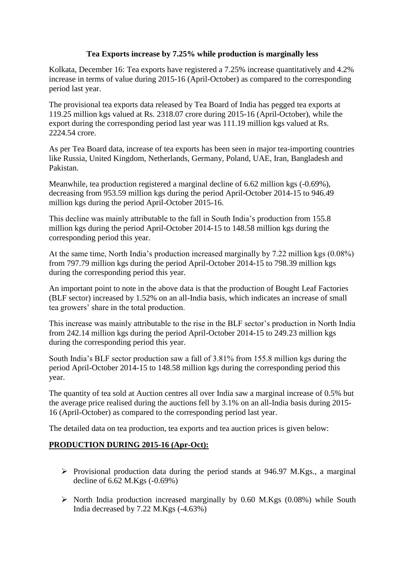### **Tea Exports increase by 7.25% while production is marginally less**

Kolkata, December 16: Tea exports have registered a 7.25% increase quantitatively and 4.2% increase in terms of value during 2015-16 (April-October) as compared to the corresponding period last year.

The provisional tea exports data released by Tea Board of India has pegged tea exports at 119.25 million kgs valued at Rs. 2318.07 crore during 2015-16 (April-October), while the export during the corresponding period last year was 111.19 million kgs valued at Rs. 2224.54 crore.

As per Tea Board data, increase of tea exports has been seen in major tea-importing countries like Russia, United Kingdom, Netherlands, Germany, Poland, UAE, Iran, Bangladesh and Pakistan.

Meanwhile, tea production registered a marginal decline of 6.62 million kgs (-0.69%), decreasing from 953.59 million kgs during the period April-October 2014-15 to 946.49 million kgs during the period April-October 2015-16.

This decline was mainly attributable to the fall in South India's production from 155.8 million kgs during the period April-October 2014-15 to 148.58 million kgs during the corresponding period this year.

At the same time, North India's production increased marginally by 7.22 million kgs (0.08%) from 797.79 million kgs during the period April-October 2014-15 to 798.39 million kgs during the corresponding period this year.

An important point to note in the above data is that the production of Bought Leaf Factories (BLF sector) increased by 1.52% on an all-India basis, which indicates an increase of small tea growers' share in the total production.

This increase was mainly attributable to the rise in the BLF sector's production in North India from 242.14 million kgs during the period April-October 2014-15 to 249.23 million kgs during the corresponding period this year.

South India's BLF sector production saw a fall of 3.81% from 155.8 million kgs during the period April-October 2014-15 to 148.58 million kgs during the corresponding period this year.

The quantity of tea sold at Auction centres all over India saw a marginal increase of 0.5% but the average price realised during the auctions fell by 3.1% on an all-India basis during 2015- 16 (April-October) as compared to the corresponding period last year.

The detailed data on tea production, tea exports and tea auction prices is given below:

## **PRODUCTION DURING 2015-16 (Apr-Oct):**

- $\triangleright$  Provisional production data during the period stands at 946.97 M.Kgs., a marginal decline of 6.62 M.Kgs (-0.69%)
- $\triangleright$  North India production increased marginally by 0.60 M.Kgs (0.08%) while South India decreased by 7.22 M.Kgs (-4.63%)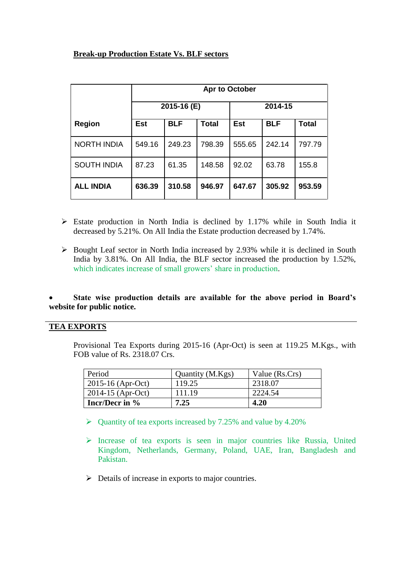# **Break-up Production Estate Vs. BLF sectors**

|                    | Apr to October |            |              |            |            |              |
|--------------------|----------------|------------|--------------|------------|------------|--------------|
|                    | 2015-16 (E)    |            |              | 2014-15    |            |              |
| <b>Region</b>      | <b>Est</b>     | <b>BLF</b> | <b>Total</b> | <b>Est</b> | <b>BLF</b> | <b>Total</b> |
| <b>NORTH INDIA</b> | 549.16         | 249.23     | 798.39       | 555.65     | 242.14     | 797.79       |
| SOUTH INDIA        | 87.23          | 61.35      | 148.58       | 92.02      | 63.78      | 155.8        |
| <b>ALL INDIA</b>   | 636.39         | 310.58     | 946.97       | 647.67     | 305.92     | 953.59       |

- $\triangleright$  Estate production in North India is declined by 1.17% while in South India it decreased by 5.21%. On All India the Estate production decreased by 1.74%.
- $\triangleright$  Bought Leaf sector in North India increased by 2.93% while it is declined in South India by 3.81%. On All India, the BLF sector increased the production by 1.52%, which indicates increase of small growers' share in production.

#### **State wise production details are available for the above period in Board's website for public notice.**

### **TEA EXPORTS**

Provisional Tea Exports during 2015-16 (Apr-Oct) is seen at 119.25 M.Kgs., with FOB value of Rs. 2318.07 Crs.

| Period                | Quantity (M.Kgs) | Value (Rs.Crs) |
|-----------------------|------------------|----------------|
| $2015 - 16$ (Apr-Oct) | 119.25           | 2318.07        |
| $2014 - 15$ (Apr-Oct) | 111.19           | 2224.54        |
| Incr/Decr in $\%$     | 7.25             | 4.20           |

- $\triangleright$  Quantity of tea exports increased by 7.25% and value by 4.20%
- Increase of tea exports is seen in major countries like Russia, United Kingdom, Netherlands, Germany, Poland, UAE, Iran, Bangladesh and Pakistan.
- $\triangleright$  Details of increase in exports to major countries.